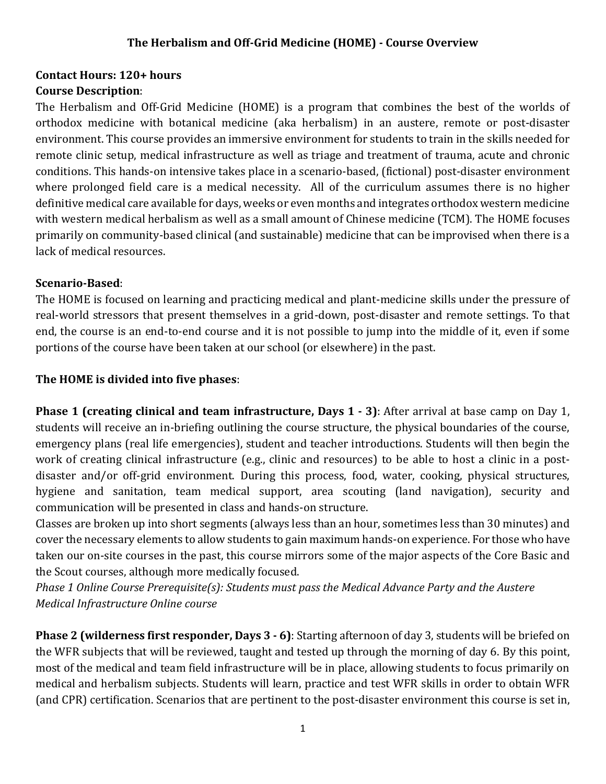## **Contact Hours: 120+ hours Course Description**:

The Herbalism and Off-Grid Medicine (HOME) is a program that combines the best of the worlds of orthodox medicine with botanical medicine (aka herbalism) in an austere, remote or post-disaster environment. This course provides an immersive environment for students to train in the skills needed for remote clinic setup, medical infrastructure as well as triage and treatment of trauma, acute and chronic conditions. This hands-on intensive takes place in a scenario-based, (fictional) post-disaster environment where prolonged field care is a medical necessity. All of the curriculum assumes there is no higher definitive medical care available for days, weeks or even months and integrates orthodox western medicine with western medical herbalism as well as a small amount of Chinese medicine (TCM). The HOME focuses primarily on community-based clinical (and sustainable) medicine that can be improvised when there is a lack of medical resources.

## **Scenario-Based**:

The HOME is focused on learning and practicing medical and plant-medicine skills under the pressure of real-world stressors that present themselves in a grid-down, post-disaster and remote settings. To that end, the course is an end-to-end course and it is not possible to jump into the middle of it, even if some portions of the course have been taken at our school (or elsewhere) in the past.

## **The HOME is divided into five phases**:

**Phase 1 (creating clinical and team infrastructure, Days 1 - 3)**: After arrival at base camp on Day 1, students will receive an in-briefing outlining the course structure, the physical boundaries of the course, emergency plans (real life emergencies), student and teacher introductions. Students will then begin the work of creating clinical infrastructure (e.g., clinic and resources) to be able to host a clinic in a postdisaster and/or off-grid environment. During this process, food, water, cooking, physical structures, hygiene and sanitation, team medical support, area scouting (land navigation), security and communication will be presented in class and hands-on structure.

Classes are broken up into short segments (always less than an hour, sometimes less than 30 minutes) and cover the necessary elements to allow students to gain maximum hands-on experience. For those who have taken our on-site courses in the past, this course mirrors some of the major aspects of the Core Basic and the Scout courses, although more medically focused.

*Phase 1 Online Course Prerequisite(s): Students must pass the Medical Advance Party and the Austere Medical Infrastructure Online course*

**Phase 2 (wilderness first responder, Days 3 - 6)**: Starting afternoon of day 3, students will be briefed on the WFR subjects that will be reviewed, taught and tested up through the morning of day 6. By this point, most of the medical and team field infrastructure will be in place, allowing students to focus primarily on medical and herbalism subjects. Students will learn, practice and test WFR skills in order to obtain WFR (and CPR) certification. Scenarios that are pertinent to the post-disaster environment this course is set in,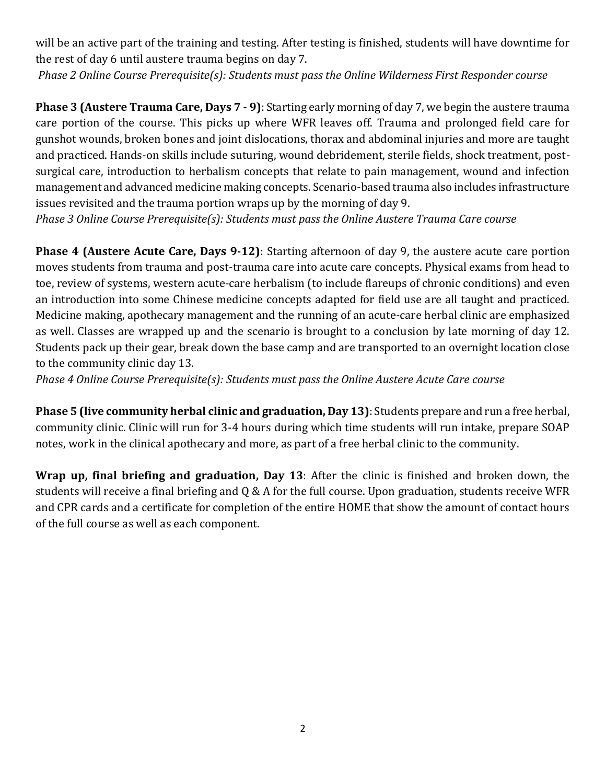will be an active part of the training and testing. After testing is finished, students will have downtime for the rest of day 6 until austere trauma begins on day 7.

*Phase 2 Online Course Prerequisite(s): Students must pass the Online Wilderness First Responder course*

**Phase 3 <b>(Austere Trauma Care, Days 7 - 9)**: Starting early morning of day 7, we begin the austere trauma care portion of the course. This picks up where WFR leaves off. Trauma and prolonged field care for gunshot wounds, broken bones and joint dislocations, thorax and abdominal injuries and more are taught and practiced. Hands-on skills include suturing, wound debridement, sterile fields, shock treatment, postsurgical care, introduction to herbalism concepts that relate to pain management, wound and infection management and advanced medicine making concepts. Scenario-based trauma also includes infrastructure issues revisited and the trauma portion wraps up by the morning of day 9.

*Phase 3 Online Course Prerequisite(s): Students must pass the Online Austere Trauma Care course*

**Phase 4 (Austere Acute Care, Days 9-12)**: Starting afternoon of day 9, the austere acute care portion moves students from trauma and post-trauma care into acute care concepts. Physical exams from head to toe, review of systems, western acute-care herbalism (to include flareups of chronic conditions) and even an introduction into some Chinese medicine concepts adapted for field use are all taught and practiced. Medicine making, apothecary management and the running of an acute-care herbal clinic are emphasized as well. Classes are wrapped up and the scenario is brought to a conclusion by late morning of day 12. Students pack up their gear, break down the base camp and are transported to an overnight location close to the community clinic day 13.

*Phase 4 Online Course Prerequisite(s): Students must pass the Online Austere Acute Care course*

**Phase 5 (live community herbal clinic and graduation, Day 13)**: Students prepare and run a free herbal, community clinic. Clinic will run for 3-4 hours during which time students will run intake, prepare SOAP notes, work in the clinical apothecary and more, as part of a free herbal clinic to the community.

**Wrap up, final briefing and graduation, Day 13**: After the clinic is finished and broken down, the students will receive a final briefing and Q & A for the full course. Upon graduation, students receive WFR and CPR cards and a certificate for completion of the entire HOME that show the amount of contact hours of the full course as well as each component.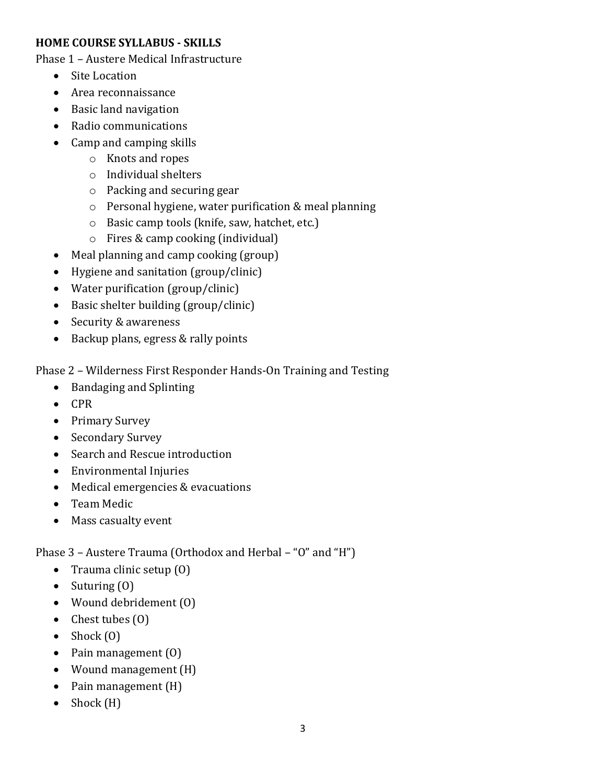## **HOME COURSE SYLLABUS - SKILLS**

Phase 1 – Austere Medical Infrastructure

- Site Location
- Area reconnaissance
- Basic land navigation
- Radio communications
- Camp and camping skills
	- o Knots and ropes
	- o Individual shelters
	- o Packing and securing gear
	- o Personal hygiene, water purification & meal planning
	- o Basic camp tools (knife, saw, hatchet, etc.)
	- o Fires & camp cooking (individual)
- Meal planning and camp cooking (group)
- Hygiene and sanitation (group/clinic)
- Water purification (group/clinic)
- Basic shelter building (group/clinic)
- Security & awareness
- Backup plans, egress & rally points

Phase 2 – Wilderness First Responder Hands-On Training and Testing

- Bandaging and Splinting
- CPR
- Primary Survey
- Secondary Survey
- Search and Rescue introduction
- Environmental Injuries
- Medical emergencies & evacuations
- Team Medic
- Mass casualty event

Phase 3 – Austere Trauma (Orthodox and Herbal – "O" and "H")

- Trauma clinic setup (0)
- Suturing  $(0)$
- Wound debridement (O)
- Chest tubes (0)
- Shock  $(0)$
- Pain management (0)
- Wound management (H)
- Pain management (H)
- Shock (H)